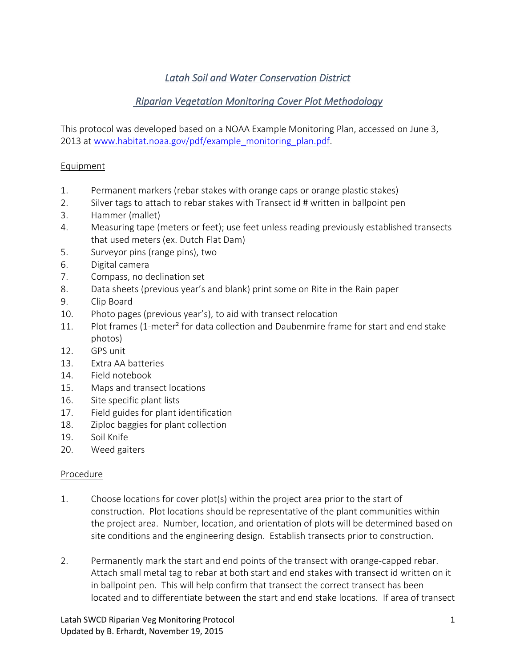# *Latah Soil and Water Conservation District*

## *Riparian Vegetation Monitoring Cover Plot Methodology*

This protocol was developed based on a NOAA Example Monitoring Plan, accessed on June 3, 2013 at [www.habitat.noaa.gov/pdf/example\\_monitoring\\_plan.pdf.](http://www.habitat.noaa.gov/pdf/example_monitoring_plan.pdf)

#### **Equipment**

- 1. Permanent markers (rebar stakes with orange caps or orange plastic stakes)
- 2. Silver tags to attach to rebar stakes with Transect id # written in ballpoint pen
- 3. Hammer (mallet)
- 4. Measuring tape (meters or feet); use feet unless reading previously established transects that used meters (ex. Dutch Flat Dam)
- 5. Surveyor pins (range pins), two
- 6. Digital camera
- 7. Compass, no declination set
- 8. Data sheets (previous year's and blank) print some on Rite in the Rain paper
- 9. Clip Board
- 10. Photo pages (previous year's), to aid with transect relocation
- 11. Plot frames (1-meter² for data collection and Daubenmire frame for start and end stake photos)
- 12. GPS unit
- 13. Extra AA batteries
- 14. Field notebook
- 15. Maps and transect locations
- 16. Site specific plant lists
- 17. Field guides for plant identification
- 18. Ziploc baggies for plant collection
- 19. Soil Knife
- 20. Weed gaiters

#### Procedure

- 1. Choose locations for cover plot(s) within the project area prior to the start of construction. Plot locations should be representative of the plant communities within the project area. Number, location, and orientation of plots will be determined based on site conditions and the engineering design. Establish transects prior to construction.
- 2. Permanently mark the start and end points of the transect with orange-capped rebar. Attach small metal tag to rebar at both start and end stakes with transect id written on it in ballpoint pen. This will help confirm that transect the correct transect has been located and to differentiate between the start and end stake locations. If area of transect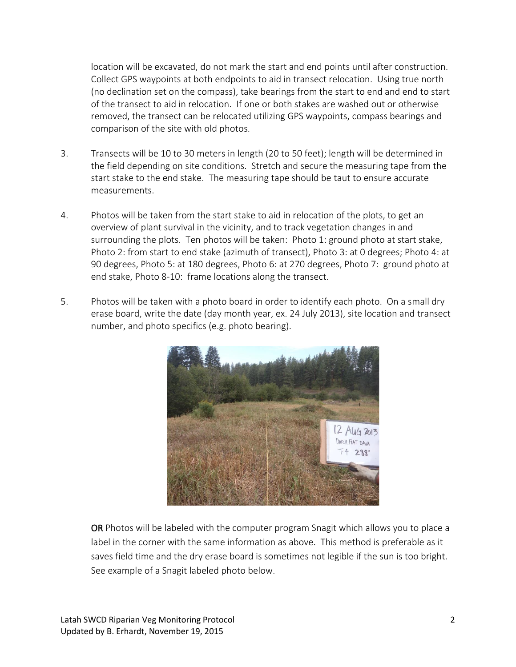location will be excavated, do not mark the start and end points until after construction. Collect GPS waypoints at both endpoints to aid in transect relocation. Using true north (no declination set on the compass), take bearings from the start to end and end to start of the transect to aid in relocation. If one or both stakes are washed out or otherwise removed, the transect can be relocated utilizing GPS waypoints, compass bearings and comparison of the site with old photos.

- 3. Transects will be 10 to 30 meters in length (20 to 50 feet); length will be determined in the field depending on site conditions. Stretch and secure the measuring tape from the start stake to the end stake. The measuring tape should be taut to ensure accurate measurements.
- 4. Photos will be taken from the start stake to aid in relocation of the plots, to get an overview of plant survival in the vicinity, and to track vegetation changes in and surrounding the plots. Ten photos will be taken: Photo 1: ground photo at start stake, Photo 2: from start to end stake (azimuth of transect), Photo 3: at 0 degrees; Photo 4: at 90 degrees, Photo 5: at 180 degrees, Photo 6: at 270 degrees, Photo 7: ground photo at end stake, Photo 8-10: frame locations along the transect.
- 5. Photos will be taken with a photo board in order to identify each photo. On a small dry erase board, write the date (day month year, ex. 24 July 2013), site location and transect number, and photo specifics (e.g. photo bearing).



OR Photos will be labeled with the computer program Snagit which allows you to place a label in the corner with the same information as above. This method is preferable as it saves field time and the dry erase board is sometimes not legible if the sun is too bright. See example of a Snagit labeled photo below.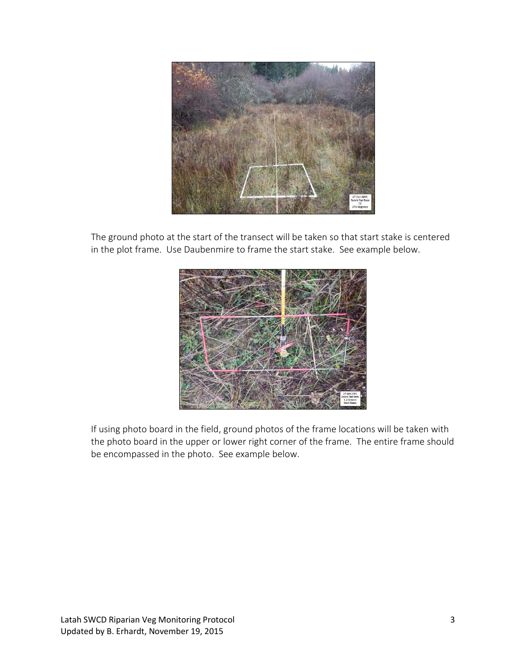

The ground photo at the start of the transect will be taken so that start stake is centered in the plot frame. Use Daubenmire to frame the start stake. See example below.



If using photo board in the field, ground photos of the frame locations will be taken with the photo board in the upper or lower right corner of the frame. The entire frame should be encompassed in the photo. See example below.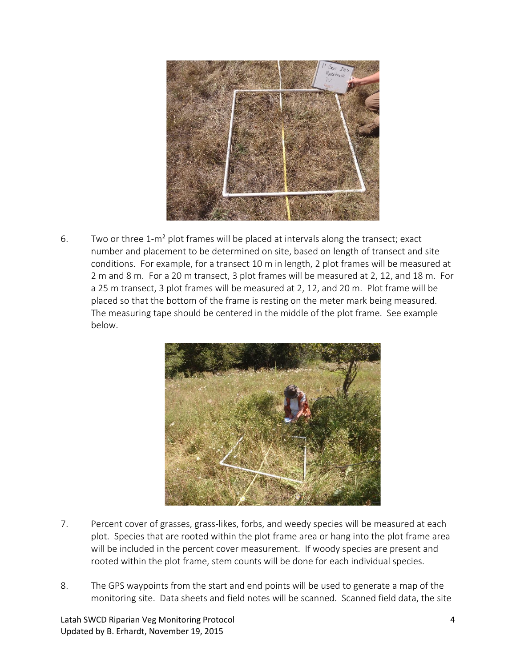

6. Two or three 1-m<sup>2</sup> plot frames will be placed at intervals along the transect; exact number and placement to be determined on site, based on length of transect and site conditions. For example, for a transect 10 m in length, 2 plot frames will be measured at 2 m and 8 m. For a 20 m transect, 3 plot frames will be measured at 2, 12, and 18 m. For a 25 m transect, 3 plot frames will be measured at 2, 12, and 20 m. Plot frame will be placed so that the bottom of the frame is resting on the meter mark being measured. The measuring tape should be centered in the middle of the plot frame. See example below.



- 7. Percent cover of grasses, grass-likes, forbs, and weedy species will be measured at each plot. Species that are rooted within the plot frame area or hang into the plot frame area will be included in the percent cover measurement. If woody species are present and rooted within the plot frame, stem counts will be done for each individual species.
- 8. The GPS waypoints from the start and end points will be used to generate a map of the monitoring site. Data sheets and field notes will be scanned. Scanned field data, the site

Latah SWCD Riparian Veg Monitoring Protocol 4 Updated by B. Erhardt, November 19, 2015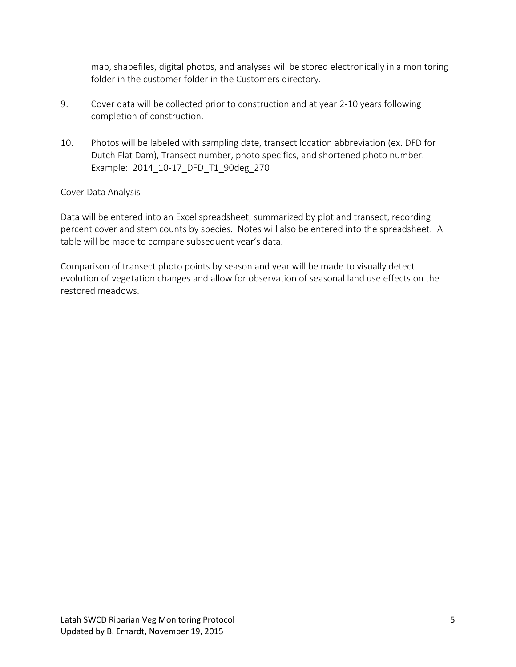map, shapefiles, digital photos, and analyses will be stored electronically in a monitoring folder in the customer folder in the Customers directory.

- 9. Cover data will be collected prior to construction and at year 2-10 years following completion of construction.
- 10. Photos will be labeled with sampling date, transect location abbreviation (ex. DFD for Dutch Flat Dam), Transect number, photo specifics, and shortened photo number. Example: 2014\_10-17\_DFD\_T1\_90deg\_270

### Cover Data Analysis

Data will be entered into an Excel spreadsheet, summarized by plot and transect, recording percent cover and stem counts by species. Notes will also be entered into the spreadsheet. A table will be made to compare subsequent year's data.

Comparison of transect photo points by season and year will be made to visually detect evolution of vegetation changes and allow for observation of seasonal land use effects on the restored meadows.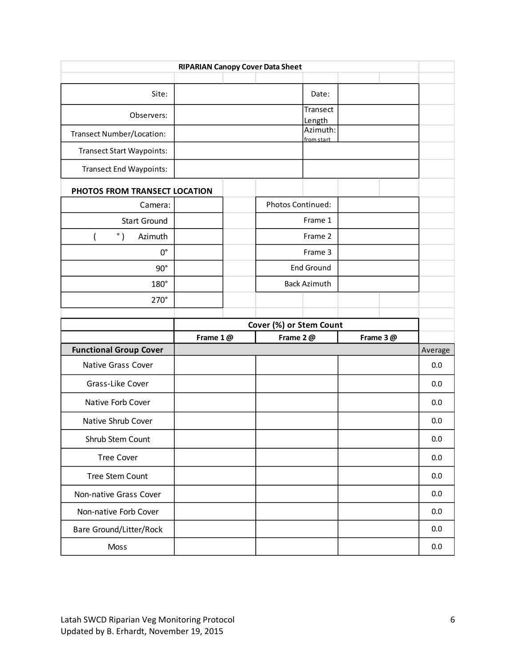| <b>RIPARIAN Canopy Cover Data Sheet</b> |          |  |                         |                     |  |          |         |  |  |
|-----------------------------------------|----------|--|-------------------------|---------------------|--|----------|---------|--|--|
|                                         |          |  |                         |                     |  |          |         |  |  |
| Site:                                   |          |  |                         | Date:               |  |          |         |  |  |
| Observers:                              |          |  |                         | Transect            |  |          |         |  |  |
| <b>Transect Number/Location:</b>        |          |  |                         | Length<br>Azimuth:  |  |          |         |  |  |
| <b>Transect Start Waypoints:</b>        |          |  |                         | from start          |  |          |         |  |  |
| <b>Transect End Waypoints:</b>          |          |  |                         |                     |  |          |         |  |  |
| PHOTOS FROM TRANSECT LOCATION           |          |  |                         |                     |  |          |         |  |  |
| Camera:                                 |          |  | Photos Continued:       |                     |  |          |         |  |  |
| <b>Start Ground</b>                     |          |  | Frame 1                 |                     |  |          |         |  |  |
| $^{\circ}$ )<br>Azimuth                 |          |  | Frame 2                 |                     |  |          |         |  |  |
| $0^{\circ}$                             |          |  | Frame 3                 |                     |  |          |         |  |  |
| $90^\circ$                              |          |  | End Ground              |                     |  |          |         |  |  |
| 180°                                    |          |  |                         | <b>Back Azimuth</b> |  |          |         |  |  |
| 270°                                    |          |  |                         |                     |  |          |         |  |  |
|                                         |          |  |                         |                     |  |          |         |  |  |
|                                         |          |  |                         |                     |  |          |         |  |  |
|                                         |          |  | Cover (%) or Stem Count |                     |  |          |         |  |  |
| <b>Functional Group Cover</b>           | Frame 1@ |  | Frame 2@                |                     |  | Frame 3@ | Average |  |  |
| Native Grass Cover                      |          |  |                         |                     |  |          | 0.0     |  |  |
| Grass-Like Cover                        |          |  |                         |                     |  |          | 0.0     |  |  |
| Native Forb Cover                       |          |  |                         |                     |  |          | 0.0     |  |  |
| Native Shrub Cover                      |          |  |                         |                     |  |          | 0.0     |  |  |
| Shrub Stem Count                        |          |  |                         |                     |  |          | 0.0     |  |  |
| <b>Tree Cover</b>                       |          |  |                         |                     |  |          | 0.0     |  |  |
| Tree Stem Count                         |          |  |                         |                     |  |          | 0.0     |  |  |
| Non-native Grass Cover                  |          |  |                         |                     |  |          | 0.0     |  |  |
| Non-native Forb Cover                   |          |  |                         |                     |  |          | 0.0     |  |  |
| <b>Bare Ground/Litter/Rock</b>          |          |  |                         |                     |  |          | 0.0     |  |  |